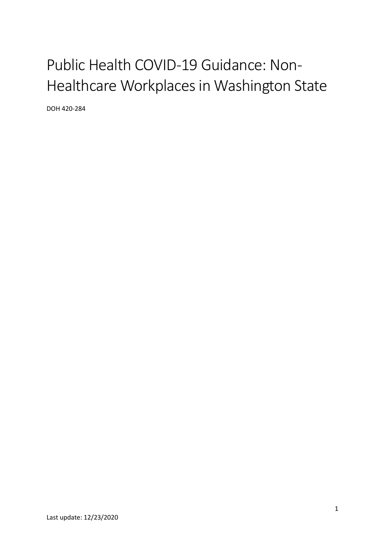# Public Health COVID-19 Guidance: Non-Healthcare Workplaces in Washington State

DOH 420-284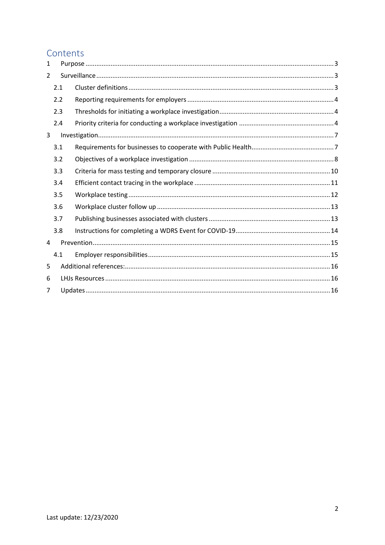# Contents

| $\mathbf{1}$ |     |  |  |  |  |
|--------------|-----|--|--|--|--|
| 2            |     |  |  |  |  |
|              | 2.1 |  |  |  |  |
|              | 2.2 |  |  |  |  |
|              | 2.3 |  |  |  |  |
|              | 2.4 |  |  |  |  |
| 3            |     |  |  |  |  |
|              | 3.1 |  |  |  |  |
|              | 3.2 |  |  |  |  |
|              | 3.3 |  |  |  |  |
|              | 3.4 |  |  |  |  |
|              | 3.5 |  |  |  |  |
|              | 3.6 |  |  |  |  |
|              | 3.7 |  |  |  |  |
|              | 3.8 |  |  |  |  |
| 4            |     |  |  |  |  |
|              | 4.1 |  |  |  |  |
| 5            |     |  |  |  |  |
| 6            |     |  |  |  |  |
| 7            |     |  |  |  |  |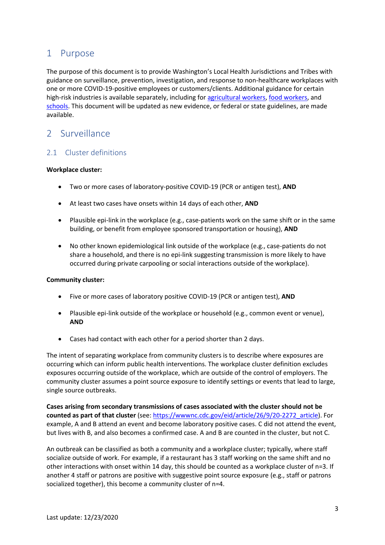# <span id="page-2-0"></span>1 Purpose

The purpose of this document is to provide Washington's Local Health Jurisdictions and Tribes with guidance on surveillance, prevention, investigation, and response to non-healthcare workplaces with one or more COVID-19-positive employees or customers/clients. Additional guidance for certain high-risk industries is available separately, including for [agricultural workers,](https://www.doh.wa.gov/Portals/1/Documents/1600/coronavirus/COVID-19GuidanceFarmAgriculturalWorkers.pdf) [food workers,](https://www.doh.wa.gov/Emergencies/NovelCoronavirusOutbreak2020COVID19/FoodWorkers) and [schools.](https://www.doh.wa.gov/Portals/1/Documents/1600/coronavirus/FallGuidanceK-12.pdf) This document will be updated as new evidence, or federal or state guidelines, are made available.

# <span id="page-2-1"></span>2 Surveillance

## <span id="page-2-2"></span>2.1 Cluster definitions

#### **Workplace cluster:**

- Two or more cases of laboratory-positive COVID-19 (PCR or antigen test), **AND**
- At least two cases have onsets within 14 days of each other, **AND**
- Plausible epi-link in the workplace (e.g., case-patients work on the same shift or in the same building, or benefit from employee sponsored transportation or housing), **AND**
- No other known epidemiological link outside of the workplace (e.g., case-patients do not share a household, and there is no epi-link suggesting transmission is more likely to have occurred during private carpooling or social interactions outside of the workplace).

#### **Community cluster:**

- Five or more cases of laboratory positive COVID-19 (PCR or antigen test), **AND**
- Plausible epi-link outside of the workplace or household (e.g., common event or venue), **AND**
- Cases had contact with each other for a period shorter than 2 days.

The intent of separating workplace from community clusters is to describe where exposures are occurring which can inform public health interventions. The workplace cluster definition excludes exposures occurring outside of the workplace, which are outside of the control of employers. The community cluster assumes a point source exposure to identify settings or events that lead to large, single source outbreaks.

**Cases arising from secondary transmissions of cases associated with the cluster should not be counted as part of that cluster** (see[: https://wwwnc.cdc.gov/eid/article/26/9/20-2272\\_article\)](https://wwwnc.cdc.gov/eid/article/26/9/20-2272_article). For example, A and B attend an event and become laboratory positive cases. C did not attend the event, but lives with B, and also becomes a confirmed case. A and B are counted in the cluster, but not C.

An outbreak can be classified as both a community and a workplace cluster; typically, where staff socialize outside of work. For example, if a restaurant has 3 staff working on the same shift and no other interactions with onset within 14 day, this should be counted as a workplace cluster of n=3. If another 4 staff or patrons are positive with suggestive point source exposure (e.g., staff or patrons socialized together), this become a community cluster of n=4.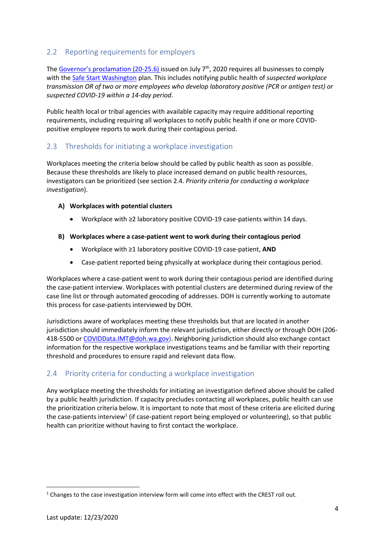## <span id="page-3-0"></span>2.2 Reporting requirements for employers

The [Governor's proclamation \(20](https://www.governor.wa.gov/sites/default/files/20-25.4%20-%20COVID-19%20Safe%20Start.pdf)-25.6) issued on July  $7<sup>th</sup>$ , 2020 requires all businesses to comply with the [Safe Start Washington](https://www.governor.wa.gov/sites/default/files/SafeStartPhasedReopening.pdf) plan. This includes notifying public health of *suspected workplace transmission OR of two or more employees who develop laboratory positive (PCR or antigen test) or suspected COVID-19 within a 14-day period*.

Public health local or tribal agencies with available capacity may require additional reporting requirements, including requiring all workplaces to notify public health if one or more COVIDpositive employee reports to work during their contagious period.

## <span id="page-3-1"></span>2.3 Thresholds for initiating a workplace investigation

Workplaces meeting the criteria below should be called by public health as soon as possible. Because these thresholds are likely to place increased demand on public health resources, investigators can be prioritized (see section 2.4. *Priority criteria for conducting a workplace investigation*).

#### **A) Workplaces with potential clusters**

• Workplace with ≥2 laboratory positive COVID-19 case-patients within 14 days.

#### **B) Workplaces where a case-patient went to work during their contagious period**

- Workplace with ≥1 laboratory positive COVID-19 case-patient, **AND**
- Case-patient reported being physically at workplace during their contagious period.

Workplaces where a case-patient went to work during their contagious period are identified during the case-patient interview. Workplaces with potential clusters are determined during review of the case line list or through automated geocoding of addresses. DOH is currently working to automate this process for case-patients interviewed by DOH.

Jurisdictions aware of workplaces meeting these thresholds but that are located in another jurisdiction should immediately inform the relevant jurisdiction, either directly or through DOH (206- 418-5500 or [COVIDData.IMT@doh.wa.gov\)](mailto:COVIDData.IMT@doh.wa.gov). Neighboring jurisdiction should also exchange contact information for the respective workplace investigations teams and be familiar with their reporting threshold and procedures to ensure rapid and relevant data flow.

## <span id="page-3-2"></span>2.4 Priority criteria for conducting a workplace investigation

Any workplace meeting the thresholds for initiating an investigation defined above should be called by a public health jurisdiction. If capacity precludes contacting all workplaces, public health can use the prioritization criteria below. It is important to note that most of these criteria are elicited during the case-patients interview<sup>1</sup> (if case-patient report being employed or volunteering), so that public health can prioritize without having to first contact the workplace.

<sup>1</sup> Changes to the case investigation interview form will come into effect with the CREST roll out.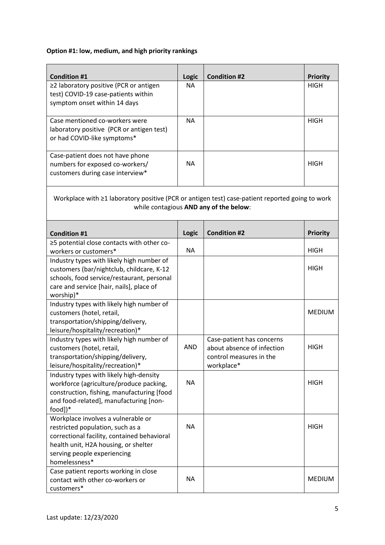## **Option #1: low, medium, and high priority rankings**

| <b>Condition #1</b>                                                                                                                       | <b>Logic</b> | <b>Condition #2</b>        | <b>Priority</b> |  |  |
|-------------------------------------------------------------------------------------------------------------------------------------------|--------------|----------------------------|-----------------|--|--|
| ≥2 laboratory positive (PCR or antigen<br>test) COVID-19 case-patients within<br>symptom onset within 14 days                             | <b>NA</b>    |                            | <b>HIGH</b>     |  |  |
| Case mentioned co-workers were<br>laboratory positive (PCR or antigen test)<br>or had COVID-like symptoms*                                | <b>NA</b>    |                            | <b>HIGH</b>     |  |  |
| Case-patient does not have phone<br>numbers for exposed co-workers/<br>customers during case interview*                                   | <b>NA</b>    |                            | <b>HIGH</b>     |  |  |
| Workplace with ≥1 laboratory positive (PCR or antigen test) case-patient reported going to work<br>while contagious AND any of the below: |              |                            |                 |  |  |
| <b>Condition #1</b>                                                                                                                       | <b>Logic</b> | <b>Condition #2</b>        | <b>Priority</b> |  |  |
| ≥5 potential close contacts with other co-                                                                                                |              |                            |                 |  |  |
| workers or customers*                                                                                                                     | <b>NA</b>    |                            | <b>HIGH</b>     |  |  |
| Industry types with likely high number of                                                                                                 |              |                            |                 |  |  |
| customers (bar/nightclub, childcare, K-12                                                                                                 |              |                            | <b>HIGH</b>     |  |  |
| schools, food service/restaurant, personal                                                                                                |              |                            |                 |  |  |
| care and service [hair, nails], place of<br>worship)*                                                                                     |              |                            |                 |  |  |
| Industry types with likely high number of                                                                                                 |              |                            |                 |  |  |
| customers (hotel, retail,                                                                                                                 |              |                            | <b>MEDIUM</b>   |  |  |
| transportation/shipping/delivery,                                                                                                         |              |                            |                 |  |  |
| leisure/hospitality/recreation)*                                                                                                          |              |                            |                 |  |  |
| Industry types with likely high number of                                                                                                 |              | Case-patient has concerns  |                 |  |  |
| customers (hotel, retail,                                                                                                                 | <b>AND</b>   | about absence of infection | <b>HIGH</b>     |  |  |
| transportation/shipping/delivery,                                                                                                         |              | control measures in the    |                 |  |  |
| leisure/hospitality/recreation)*                                                                                                          |              | workplace*                 |                 |  |  |
| Industry types with likely high-density                                                                                                   |              |                            |                 |  |  |
| workforce (agriculture/produce packing,                                                                                                   | <b>NA</b>    |                            | <b>HIGH</b>     |  |  |
| construction, fishing, manufacturing [food                                                                                                |              |                            |                 |  |  |
| and food-related], manufacturing [non-                                                                                                    |              |                            |                 |  |  |
| food])*                                                                                                                                   |              |                            |                 |  |  |
| Workplace involves a vulnerable or                                                                                                        |              |                            |                 |  |  |
| restricted population, such as a                                                                                                          | <b>NA</b>    |                            | <b>HIGH</b>     |  |  |
| correctional facility, contained behavioral                                                                                               |              |                            |                 |  |  |
| health unit, H2A housing, or shelter                                                                                                      |              |                            |                 |  |  |
| serving people experiencing                                                                                                               |              |                            |                 |  |  |
| homelessness*                                                                                                                             |              |                            |                 |  |  |
| Case patient reports working in close                                                                                                     |              |                            |                 |  |  |
| contact with other co-workers or                                                                                                          | <b>NA</b>    |                            | <b>MEDIUM</b>   |  |  |
| $cuts$ tomers*                                                                                                                            |              |                            |                 |  |  |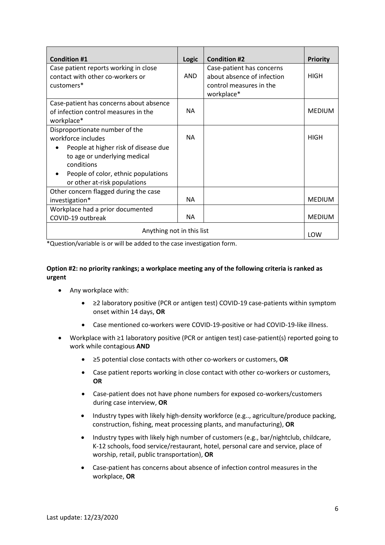| <b>Condition #1</b>                                                                                                                                                                                               | Logic      | <b>Condition #2</b>                                                                              | <b>Priority</b> |
|-------------------------------------------------------------------------------------------------------------------------------------------------------------------------------------------------------------------|------------|--------------------------------------------------------------------------------------------------|-----------------|
| Case patient reports working in close<br>contact with other co-workers or<br>customers*                                                                                                                           | <b>AND</b> | Case-patient has concerns<br>about absence of infection<br>control measures in the<br>workplace* | <b>HIGH</b>     |
| Case-patient has concerns about absence<br>of infection control measures in the<br>workplace*                                                                                                                     | <b>NA</b>  |                                                                                                  | <b>MEDIUM</b>   |
| Disproportionate number of the<br>workforce includes<br>People at higher risk of disease due<br>to age or underlying medical<br>conditions<br>People of color, ethnic populations<br>or other at-risk populations | <b>NA</b>  |                                                                                                  | <b>HIGH</b>     |
| Other concern flagged during the case<br>investigation*                                                                                                                                                           | NA.        |                                                                                                  | <b>MEDIUM</b>   |
| Workplace had a prior documented<br>COVID-19 outbreak                                                                                                                                                             | NА         |                                                                                                  | <b>MEDIUM</b>   |
| Anything not in this list                                                                                                                                                                                         |            |                                                                                                  |                 |

\*Question/variable is or will be added to the case investigation form.

### **Option #2: no priority rankings; a workplace meeting any of the following criteria is ranked as urgent**

- Any workplace with:
	- ≥2 laboratory positive (PCR or antigen test) COVID-19 case-patients within symptom onset within 14 days, **OR**
	- Case mentioned co-workers were COVID-19-positive or had COVID-19-like illness.
- Workplace with ≥1 laboratory positive (PCR or antigen test) case-patient(s) reported going to work while contagious **AND**
	- ≥5 potential close contacts with other co-workers or customers, **OR**
	- Case patient reports working in close contact with other co-workers or customers, **OR**
	- Case-patient does not have phone numbers for exposed co-workers/customers during case interview, **OR**
	- Industry types with likely high-density workforce (e.g.., agriculture/produce packing, construction, fishing, meat processing plants, and manufacturing), **OR**
	- Industry types with likely high number of customers (e.g., bar/nightclub, childcare, K-12 schools, food service/restaurant, hotel, personal care and service, place of worship, retail, public transportation), **OR**
	- Case-patient has concerns about absence of infection control measures in the workplace, **OR**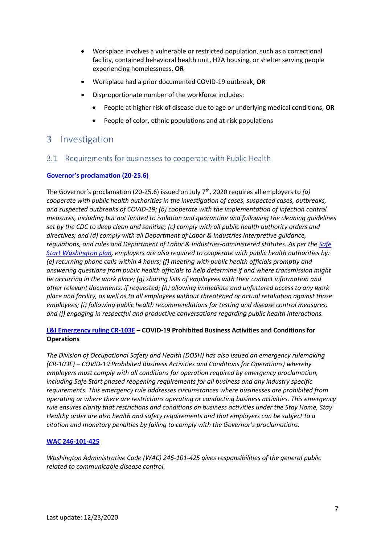- Workplace involves a vulnerable or restricted population, such as a correctional facility, contained behavioral health unit, H2A housing, or shelter serving people experiencing homelessness, **OR**
- Workplace had a prior documented COVID-19 outbreak, **OR**
- Disproportionate number of the workforce includes:
	- People at higher risk of disease due to age or underlying medical conditions, **OR**
	- People of color, ethnic populations and at-risk populations

## <span id="page-6-0"></span>3 Investigation

#### <span id="page-6-1"></span>3.1 Requirements for businesses to cooperate with Public Health

#### **[Governor's proclamatio](https://www.governor.wa.gov/sites/default/files/20-25.4%20-%20COVID-19%20Safe%20Start.pdf)n (20-25.6)**

The Governor's proclamation (20-25.6) issued on July 7<sup>th</sup>, 2020 requires all employers to *(a) cooperate with public health authorities in the investigation of cases, suspected cases, outbreaks, and suspected outbreaks of COVID-19; (b) cooperate with the implementation of infection control measures, including but not limited to isolation and quarantine and following the cleaning guidelines set by the CDC to deep clean and sanitize; (c) comply with all public health authority orders and directives; and (d) comply with all Department of Labor & Industries interpretive guidance, regulations, and rules and Department of Labor & Industries-administered statutes. As per the [Safe](https://www.governor.wa.gov/sites/default/files/SafeStartPhasedReopening.pdf)  [Start Washington plan,](https://www.governor.wa.gov/sites/default/files/SafeStartPhasedReopening.pdf) employers are also required to cooperate with public health authorities by: (e) returning phone calls within 4 hours; (f) meeting with public health officials promptly and answering questions from public health officials to help determine if and where transmission might be occurring in the work place; (g) sharing lists of employees with their contact information and other relevant documents, if requested; (h) allowing immediate and unfettered access to any work place and facility, as well as to all employees without threatened or actual retaliation against those employees; (i) following public health recommendations for testing and disease control measures; and (j) engaging in respectful and productive conversations regarding public health interactions.*

#### **[L&I Emergency ruling CR-103E](https://www.lni.wa.gov/rulemaking-activity/) – COVID-19 Prohibited Business Activities and Conditions for Operations**

*The Division of Occupational Safety and Health (DOSH) has also issued an emergency rulemaking (CR-103E) – COVID-19 Prohibited Business Activities and Conditions for Operations) whereby employers must comply with all conditions for operation required by emergency proclamation, including Safe Start phased reopening requirements for all business and any industry specific requirements. This emergency rule addresses circumstances where businesses are prohibited from operating or where there are restrictions operating or conducting business activities. This emergency rule ensures clarity that restrictions and conditions on business activities under the Stay Home, Stay Healthy order are also health and safety requirements and that employers can be subject to a citation and monetary penalties by failing to comply with the Governor's proclamations.*

#### **[WAC 246-101-425](https://app.leg.wa.gov/wac/default.aspx?cite=246-101-425)**

*Washington Administrative Code (WAC) 246-101-425 gives responsibilities of the general public related to communicable disease control.*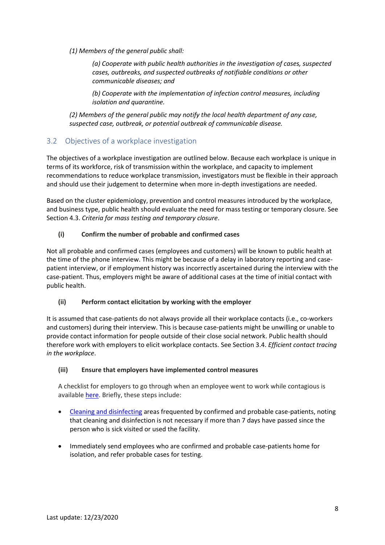*(1) Members of the general public shall:*

*(a) Cooperate with public health authorities in the investigation of cases, suspected cases, outbreaks, and suspected outbreaks of notifiable conditions or other communicable diseases; and*

*(b) Cooperate with the implementation of infection control measures, including isolation and quarantine.*

*(2) Members of the general public may notify the local health department of any case, suspected case, outbreak, or potential outbreak of communicable disease.* 

## <span id="page-7-0"></span>3.2 Objectives of a workplace investigation

The objectives of a workplace investigation are outlined below. Because each workplace is unique in terms of its workforce, risk of transmission within the workplace, and capacity to implement recommendations to reduce workplace transmission, investigators must be flexible in their approach and should use their judgement to determine when more in-depth investigations are needed.

Based on the cluster epidemiology, prevention and control measures introduced by the workplace, and business type, public health should evaluate the need for mass testing or temporary closure. See Section 4.3. *Criteria for mass testing and temporary closure*.

#### **(i) Confirm the number of probable and confirmed cases**

Not all probable and confirmed cases (employees and customers) will be known to public health at the time of the phone interview. This might be because of a delay in laboratory reporting and casepatient interview, or if employment history was incorrectly ascertained during the interview with the case-patient. Thus, employers might be aware of additional cases at the time of initial contact with public health.

#### **(ii) Perform contact elicitation by working with the employer**

It is assumed that case-patients do not always provide all their workplace contacts (i.e., co-workers and customers) during their interview. This is because case-patients might be unwilling or unable to provide contact information for people outside of their close social network. Public health should therefore work with employers to elicit workplace contacts. See Section 3.4. *Efficient contact tracing in the workplace*.

#### **(iii) Ensure that employers have implemented control measures**

A checklist for employers to go through when an employee went to work while contagious is available [here.](https://www.doh.wa.gov/Portals/1/Documents/1600/coronavirus/Checklist-BusinessesSuspectedConfirmedCasesCOVID-19.pdf) Briefly, these steps include:

- [Cleaning and disinfecting](https://www.cdc.gov/coronavirus/2019-ncov/community/disinfecting-building-facility.html) areas frequented by confirmed and probable case-patients, noting that cleaning and disinfection is not necessary if more than 7 days have passed since the person who is sick visited or used the facility.
- Immediately send employees who are confirmed and probable case-patients home for isolation, and refer probable cases for testing.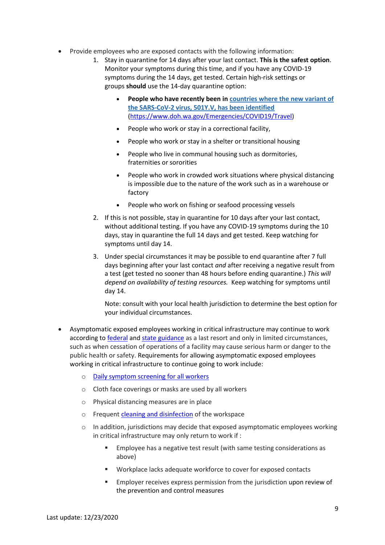- Provide employees who are exposed contacts with the following information:
	- 1. Stay in quarantine for 14 days after your last contact. **This is the safest option**. Monitor your symptoms during this time, and if you have any COVID-19 symptoms during the 14 days, get tested. Certain high-risk settings or groups **should** use the 14-day quarantine option:
		- **People who have recently been in [countries where the new variant of](https://gcc02.safelinks.protection.outlook.com/?url=https%3A%2F%2Flnks.gd%2Fl%2FeyJhbGciOiJIUzI1NiJ9.eyJidWxsZXRpbl9saW5rX2lkIjoxMDQsInVyaSI6ImJwMjpjbGljayIsImJ1bGxldGluX2lkIjoiMjAyMDEyMjIuMzI0MDY4NTEiLCJ1cmwiOiJodHRwczovL3d3dy5kb2gud2EuZ292L0VtZXJnZW5jaWVzL0NPVklEMTkvVHJhdmVsIn0.390ArBI-oYlDQHtLgzv0EGvJKpgfPC-g0vtjqMrM2SY%2Fs%2F978265154%2Fbr%2F92286129795-l&data=04%7C01%7CMarcia.Goldoft%40DOH.WA.GOV%7Ced873a1bdbfc4ae460be08d8a7193da1%7C11d0e217264e400a8ba057dcc127d72d%7C0%7C0%7C637443074143841626%7CUnknown%7CTWFpbGZsb3d8eyJWIjoiMC4wLjAwMDAiLCJQIjoiV2luMzIiLCJBTiI6Ik1haWwiLCJXVCI6Mn0%3D%7C1000&sdata=B7XYw4YAcCKbEFx%2FA0kzNAVgnV582cPt34ZuMkhhuIk%3D&reserved=0)  [the SARS-CoV-2 virus, 501Y.V, has been identified](https://gcc02.safelinks.protection.outlook.com/?url=https%3A%2F%2Flnks.gd%2Fl%2FeyJhbGciOiJIUzI1NiJ9.eyJidWxsZXRpbl9saW5rX2lkIjoxMDQsInVyaSI6ImJwMjpjbGljayIsImJ1bGxldGluX2lkIjoiMjAyMDEyMjIuMzI0MDY4NTEiLCJ1cmwiOiJodHRwczovL3d3dy5kb2gud2EuZ292L0VtZXJnZW5jaWVzL0NPVklEMTkvVHJhdmVsIn0.390ArBI-oYlDQHtLgzv0EGvJKpgfPC-g0vtjqMrM2SY%2Fs%2F978265154%2Fbr%2F92286129795-l&data=04%7C01%7CMarcia.Goldoft%40DOH.WA.GOV%7Ced873a1bdbfc4ae460be08d8a7193da1%7C11d0e217264e400a8ba057dcc127d72d%7C0%7C0%7C637443074143841626%7CUnknown%7CTWFpbGZsb3d8eyJWIjoiMC4wLjAwMDAiLCJQIjoiV2luMzIiLCJBTiI6Ik1haWwiLCJXVCI6Mn0%3D%7C1000&sdata=B7XYw4YAcCKbEFx%2FA0kzNAVgnV582cPt34ZuMkhhuIk%3D&reserved=0)** [\(https://www.doh.wa.gov/Emergencies/COVID19/Travel\)](https://www.doh.wa.gov/Emergencies/COVID19/Travel)
		- People who work or stay in a correctional facility,
		- People who work or stay in a shelter or transitional housing
		- People who live in communal housing such as dormitories, fraternities or sororities
		- People who work in crowded work situations where physical distancing is impossible due to the nature of the work such as in a warehouse or factory
		- People who work on fishing or seafood processing vessels
	- 2. If this is not possible, stay in quarantine for 10 days after your last contact, without additional testing. If you have any COVID-19 symptoms during the 10 days, stay in quarantine the full 14 days and get tested. Keep watching for symptoms until day 14.
	- 3. Under special circumstances it may be possible to end quarantine after 7 full days beginning after your last contact *and* after receiving a negative result from a test (get tested no sooner than 48 hours before ending quarantine.) *This will depend on availability of testing resources.* Keep watching for symptoms until day 14.

Note: consult with your local health jurisdiction to determine the best option for your individual circumstances.

- Asymptomatic exposed employees working in critical infrastructure may continue to work according to [federal](https://www.cdc.gov/coronavirus/2019-ncov/community/critical-infrastructure-sectors.html) an[d state guidance](https://lni.wa.gov/safety-health/safety-rules/enforcement-policies/DD170.pdf) as a last resort and only in limited circumstances, such as when cessation of operations of a facility may cause serious harm or danger to the public health or safety. Requirements for allowing asymptomatic exposed employees working in critical infrastructure to continue going to work include:
	- o [Daily symptom screening for all workers](https://www.doh.wa.gov/Portals/1/Documents/1600/coronavirus/Employervisitorscreeningguidance.pdf)
	- o Cloth face coverings or masks are used by all workers
	- o Physical distancing measures are in place
	- o Frequent cleaning [and disinfection](https://www.cdc.gov/coronavirus/2019-ncov/community/disinfecting-building-facility.html) of the workspace
	- $\circ$  In addition, jurisdictions may decide that exposed asymptomatic employees working in critical infrastructure may only return to work if :
		- Employee has a negative test result (with same testing considerations as above)
		- Workplace lacks adequate workforce to cover for exposed contacts
		- Employer receives express permission from the jurisdiction upon review of the prevention and control measures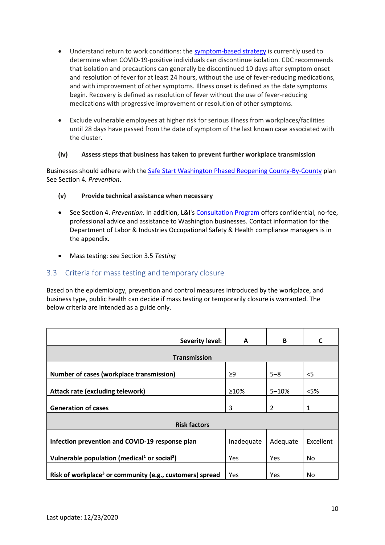- Understand return to work conditions: th[e symptom-based strategy](https://www.cdc.gov/coronavirus/2019-ncov/hcp/duration-isolation.html) is currently used to determine when COVID-19-positive individuals can discontinue isolation. CDC recommends that isolation and precautions can generally be discontinued 10 days after symptom onset and resolution of fever for at least 24 hours, without the use of fever-reducing medications, and with improvement of other symptoms. Illness onset is defined as the date symptoms begin. Recovery is defined as resolution of fever without the use of fever-reducing medications with progressive improvement or resolution of other symptoms.
- Exclude vulnerable employees at higher risk for serious illness from workplaces/facilities until 28 days have passed from the date of symptom of the last known case associated with the cluster.

#### **(iv) Assess steps that business has taken to prevent further workplace transmission**

Businesses should adhere with the [Safe Start Washington Phased Reopening County-By-County](https://www.governor.wa.gov/sites/default/files/SafeStartPhasedReopening.pdf) plan See Section 4*. Prevention*.

#### **(v) Provide technical assistance when necessary**

- See Section 4. *Prevention*. In addition, L&I's [Consultation Program](https://www.lni.wa.gov/safety-health/preventing-injuries-illnesses/request-consultation/) offers confidential, no-fee, professional advice and assistance to Washington businesses. Contact information for the Department of Labor & Industries Occupational Safety & Health compliance managers is in the appendix.
- Mass testing: see Section 3.5 *Testing*

#### <span id="page-9-0"></span>3.3 Criteria for mass testing and temporary closure

Based on the epidemiology, prevention and control measures introduced by the workplace, and business type, public health can decide if mass testing or temporarily closure is warranted. The below criteria are intended as a guide only.

| <b>Severity level:</b>                                               | A           | B          |           |  |
|----------------------------------------------------------------------|-------------|------------|-----------|--|
|                                                                      |             |            |           |  |
| <b>Transmission</b>                                                  |             |            |           |  |
|                                                                      |             |            |           |  |
| Number of cases (workplace transmission)                             | $\geq$      | $5 - 8$    | $<$ 5     |  |
|                                                                      |             |            |           |  |
| <b>Attack rate (excluding telework)</b>                              | $\geq 10\%$ | $5 - 10%$  | $<$ 5%    |  |
|                                                                      |             |            |           |  |
| <b>Generation of cases</b>                                           | 3           | 2          | 1         |  |
|                                                                      |             |            |           |  |
| <b>Risk factors</b>                                                  |             |            |           |  |
|                                                                      |             |            |           |  |
| Infection prevention and COVID-19 response plan                      | Inadequate  | Adequate   | Excellent |  |
|                                                                      |             |            |           |  |
| Vulnerable population (medical <sup>1</sup> or social <sup>2</sup> ) | Yes         | <b>Yes</b> | No.       |  |
|                                                                      |             |            |           |  |
| Risk of workplace <sup>3</sup> or community (e.g., customers) spread | Yes         | Yes        | No        |  |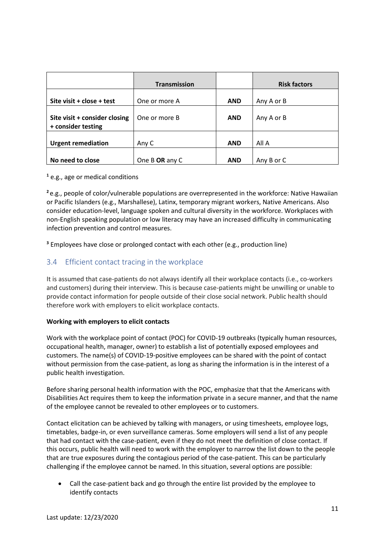|                                                     | <b>Transmission</b> |            | <b>Risk factors</b> |
|-----------------------------------------------------|---------------------|------------|---------------------|
| Site visit + close + test                           | One or more A       | <b>AND</b> | Any A or B          |
| Site visit + consider closing<br>+ consider testing | One or more B       | <b>AND</b> | Any A or B          |
| <b>Urgent remediation</b>                           | Any C               | <b>AND</b> | All A               |
| No need to close                                    | One B OR any C      | <b>AND</b> | Any B or C          |

**<sup>1</sup>** e.g., age or medical conditions

**<sup>2</sup>**e.g., people of color/vulnerable populations are overrepresented in the workforce: Native Hawaiian or Pacific Islanders (e.g., Marshallese), Latinx, temporary migrant workers, Native Americans. Also consider education-level, language spoken and cultural diversity in the workforce. Workplaces with non-English speaking population or low literacy may have an increased difficulty in communicating infection prevention and control measures.

<span id="page-10-0"></span>**<sup>3</sup>** Employees have close or prolonged contact with each other (e.g., production line)

## 3.4 Efficient contact tracing in the workplace

It is assumed that case-patients do not always identify all their workplace contacts (i.e., co-workers and customers) during their interview. This is because case-patients might be unwilling or unable to provide contact information for people outside of their close social network. Public health should therefore work with employers to elicit workplace contacts.

#### **Working with employers to elicit contacts**

Work with the workplace point of contact (POC) for COVID-19 outbreaks (typically human resources, occupational health, manager, owner) to establish a list of potentially exposed employees and customers. The name(s) of COVID-19-positive employees can be shared with the point of contact without permission from the case-patient, as long as sharing the information is in the interest of a public health investigation.

Before sharing personal health information with the POC, emphasize that that the Americans with Disabilities Act requires them to keep the information private in a secure manner, and that the name of the employee cannot be revealed to other employees or to customers.

Contact elicitation can be achieved by talking with managers, or using timesheets, employee logs, timetables, badge-in, or even surveillance cameras. Some employers will send a list of any people that had contact with the case-patient, even if they do not meet the definition of close contact. If this occurs, public health will need to work with the employer to narrow the list down to the people that are true exposures during the contagious period of the case-patient. This can be particularly challenging if the employee cannot be named. In this situation, several options are possible:

• Call the case-patient back and go through the entire list provided by the employee to identify contacts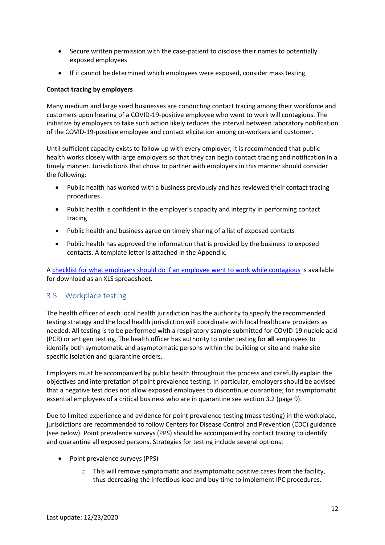- Secure written permission with the case-patient to disclose their names to potentially exposed employees
- If it cannot be determined which employees were exposed, consider mass testing

#### **Contact tracing by employers**

Many medium and large sized businesses are conducting contact tracing among their workforce and customers upon hearing of a COVID-19-positive employee who went to work will contagious. The initiative by employers to take such action likely reduces the interval between laboratory notification of the COVID-19-positive employee and contact elicitation among co-workers and customer.

Until sufficient capacity exists to follow up with every employer, it is recommended that public health works closely with large employers so that they can begin contact tracing and notification in a timely manner. Jurisdictions that chose to partner with employers in this manner should consider the following:

- Public health has worked with a business previously and has reviewed their contact tracing procedures
- Public health is confident in the employer's capacity and integrity in performing contact tracing
- Public health and business agree on timely sharing of a list of exposed contacts
- Public health has approved the information that is provided by the business to exposed contacts. A template letter is attached in the Appendix.

A [checklist for what employers should do if an employee went to work while contagious](https://www.doh.wa.gov/Portals/1/Documents/1600/coronavirus/WorkplaceContactAndCaseList.xlsx) is available for download as an XLS spreadsheet.

#### <span id="page-11-0"></span>3.5 Workplace testing

The health officer of each local health jurisdiction has the authority to specify the recommended testing strategy and the local health jurisdiction will coordinate with local healthcare providers as needed. All testing is to be performed with a respiratory sample submitted for COVID-19 nucleic acid (PCR) or antigen testing. The health officer has authority to order testing for **all** employees to identify both symptomatic and asymptomatic persons within the building or site and make site specific isolation and quarantine orders.

Employers must be accompanied by public health throughout the process and carefully explain the objectives and interpretation of point prevalence testing. In particular, employers should be advised that a negative test does not allow exposed employees to discontinue quarantine; for asymptomatic essential employees of a critical business who are in quarantine see section 3.2 (page 9).

Due to limited experience and evidence for point prevalence testing (mass testing) in the workplace, jurisdictions are recommended to follow Centers for Disease Control and Prevention (CDC) guidance (see below). Point prevalence surveys (PPS) should be accompanied by contact tracing to identify and quarantine all exposed persons. Strategies for testing include several options:

- Point prevalence surveys (PPS)
	- $\circ$  This will remove symptomatic and asymptomatic positive cases from the facility, thus decreasing the infectious load and buy time to implement IPC procedures.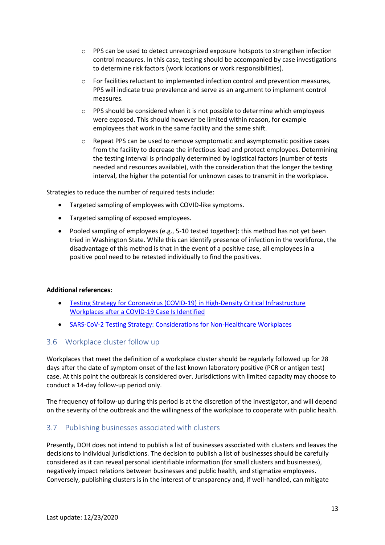- o PPS can be used to detect unrecognized exposure hotspots to strengthen infection control measures. In this case, testing should be accompanied by case investigations to determine risk factors (work locations or work responsibilities).
- o For facilities reluctant to implemented infection control and prevention measures, PPS will indicate true prevalence and serve as an argument to implement control measures.
- $\circ$  PPS should be considered when it is not possible to determine which employees were exposed. This should however be limited within reason, for example employees that work in the same facility and the same shift.
- o Repeat PPS can be used to remove symptomatic and asymptomatic positive cases from the facility to decrease the infectious load and protect employees. Determining the testing interval is principally determined by logistical factors (number of tests needed and resources available), with the consideration that the longer the testing interval, the higher the potential for unknown cases to transmit in the workplace.

Strategies to reduce the number of required tests include:

- Targeted sampling of employees with COVID-like symptoms.
- Targeted sampling of exposed employees.
- Pooled sampling of employees (e.g., 5-10 tested together): this method has not yet been tried in Washington State. While this can identify presence of infection in the workforce, the disadvantage of this method is that in the event of a positive case, all employees in a positive pool need to be retested individually to find the positives.

#### **Additional references:**

- [Testing Strategy for Coronavirus \(COVID-19\) in High-Density Critical Infrastructure](https://www.cdc.gov/coronavirus/2019-ncov/community/worker-safety-support/hd-testing.html)  [Workplaces after a COVID-19 Case Is Identified](https://www.cdc.gov/coronavirus/2019-ncov/community/worker-safety-support/hd-testing.html)
- [SARS-CoV-2 Testing Strategy: Considerations for Non-Healthcare Workplaces](https://www.cdc.gov/coronavirus/2019-ncov/community/organizations/testing-non-healthcare-workplaces.html)

## <span id="page-12-0"></span>3.6 Workplace cluster follow up

Workplaces that meet the definition of a workplace cluster should be regularly followed up for 28 days after the date of symptom onset of the last known laboratory positive (PCR or antigen test) case. At this point the outbreak is considered over. Jurisdictions with limited capacity may choose to conduct a 14-day follow-up period only.

The frequency of follow-up during this period is at the discretion of the investigator, and will depend on the severity of the outbreak and the willingness of the workplace to cooperate with public health.

## <span id="page-12-1"></span>3.7 Publishing businesses associated with clusters

Presently, DOH does not intend to publish a list of businesses associated with clusters and leaves the decisions to individual jurisdictions. The decision to publish a list of businesses should be carefully considered as it can reveal personal identifiable information (for small clusters and businesses), negatively impact relations between businesses and public health, and stigmatize employees. Conversely, publishing clusters is in the interest of transparency and, if well-handled, can mitigate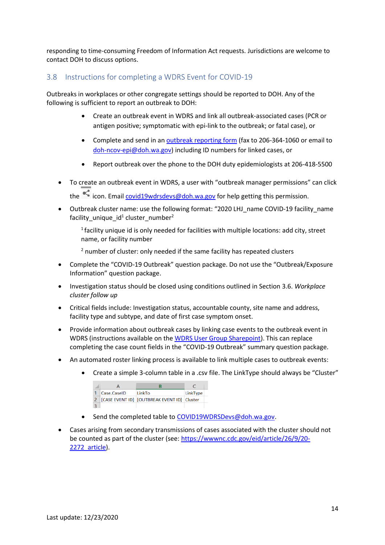responding to time-consuming Freedom of Information Act requests. Jurisdictions are welcome to contact DOH to discuss options.

#### <span id="page-13-0"></span>3.8 Instructions for completing a WDRS Event for COVID-19

Outbreaks in workplaces or other congregate settings should be reported to DOH. Any of the following is sufficient to report an outbreak to DOH:

- Create an outbreak event in WDRS and link all outbreak-associated cases (PCR or antigen positive; symptomatic with epi-link to the outbreak; or fatal case), or
- Complete and send in a[n outbreak reporting form](https://www.doh.wa.gov/Portals/1/Documents/5100/420-033-ReportForm-COVID19-Outbreak.pdf) (fax to 206-364-1060 or email to [doh-ncov-epi@doh.wa.gov\)](mailto:doh-ncov-epi@doh.wa.gov) including ID numbers for linked cases, or
- Report outbreak over the phone to the DOH duty epidemiologists at 206-418-5500
- To create an outbreak event in WDRS, a user with "outbreak manager permissions" can click the icon. Email [covid19wdrsdevs@doh.wa.gov](mailto:covid19wdrsdevs@doh.wa.gov) for help getting this permission.
- Outbreak cluster name: use the following format: "2020 LHJ\_name COVID-19 facility\_name facility\_unique\_id<sup>1</sup> cluster\_number<sup>2</sup>

<sup>1</sup> facility unique id is only needed for facilities with multiple locations: add city, street name, or facility number

 $2$  number of cluster: only needed if the same facility has repeated clusters

- Complete the "COVID-19 Outbreak" question package. Do not use the "Outbreak/Exposure Information" question package.
- Investigation status should be closed using conditions outlined in Section 3.6. *Workplace cluster follow up*
- Critical fields include: Investigation status, accountable county, site name and address, facility type and subtype, and date of first case symptom onset.
- Provide information about outbreak cases by linking case events to the outbreak event in WDRS (instructions available on the [WDRS User Group Sharepoint\)](https://doh.sp.wa.gov/sites/EXT/wdrsuser/Documents/Linking%20cases%20in%20WDRS%20step%20by%20step_07082020.pdf). This can replace completing the case count fields in the "COVID-19 Outbreak" summary question package.
- An automated roster linking process is available to link multiple cases to outbreak events:
	- Create a simple 3-column table in a .csv file. The LinkType should always be "Cluster"

| Case.CaseID | LinkTo                                      | LinkType |
|-------------|---------------------------------------------|----------|
|             | [CASE EVENT ID] [OUTBREAK EVENT ID] Cluster |          |
|             |                                             |          |

- Send the completed table t[o COVID19WDRSDevs@doh.wa.gov.](mailto:COVID19WDRSDevs@doh.wa.gov)
- Cases arising from secondary transmissions of cases associated with the cluster should not be counted as part of the cluster (see: [https://wwwnc.cdc.gov/eid/article/26/9/20-](https://wwwnc.cdc.gov/eid/article/26/9/20-2272_article) [2272\\_article\)](https://wwwnc.cdc.gov/eid/article/26/9/20-2272_article).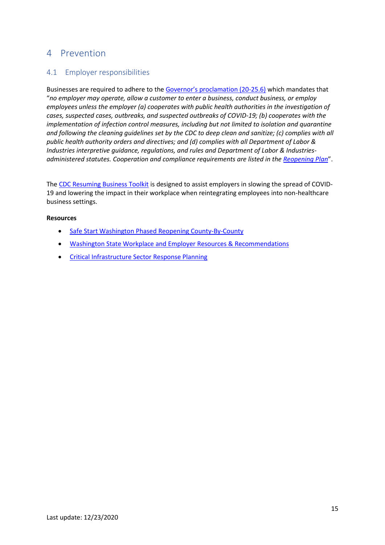## <span id="page-14-0"></span>4 Prevention

## <span id="page-14-1"></span>4.1 Employer responsibilities

Businesses are required to adhere to the [Governor's proclamation \(20](https://www.governor.wa.gov/sites/default/files/20-25.4%20-%20COVID-19%20Safe%20Start.pdf)-25.6) which mandates that "*no employer may operate, allow a customer to enter a business, conduct business, or employ employees unless the employer (a) cooperates with public health authorities in the investigation of cases, suspected cases, outbreaks, and suspected outbreaks of COVID-19; (b) cooperates with the implementation of infection control measures, including but not limited to isolation and quarantine and following the cleaning guidelines set by the CDC to deep clean and sanitize; (c) complies with all public health authority orders and directives; and (d) complies with all Department of Labor & Industries interpretive guidance, regulations, and rules and Department of Labor & Industriesadministered statutes. Cooperation and compliance requirements are listed in the [Reopening Plan](https://www.governor.wa.gov/sites/default/files/SafeStartPhasedReopening.pdf)*".

The [CDC Resuming Business Toolkit](https://www.cdc.gov/coronavirus/2019-ncov/community/resuming-business-toolkit.html) is designed to assist employers in slowing the spread of COVID-19 and lowering the impact in their workplace when reintegrating employees into non-healthcare business settings.

#### **Resources**

- [Safe Start Washington Phased Reopening County-By-County](https://www.governor.wa.gov/sites/default/files/SafeStartPhasedReopening.pdf)
- [Washington State Workplace and Employer Resources & Recommendations](https://www.doh.wa.gov/coronavirus/workplace)
- [Critical Infrastructure Sector Response Planning](https://www.cdc.gov/coronavirus/2019-ncov/community/critical-infrastructure-sectors.html)